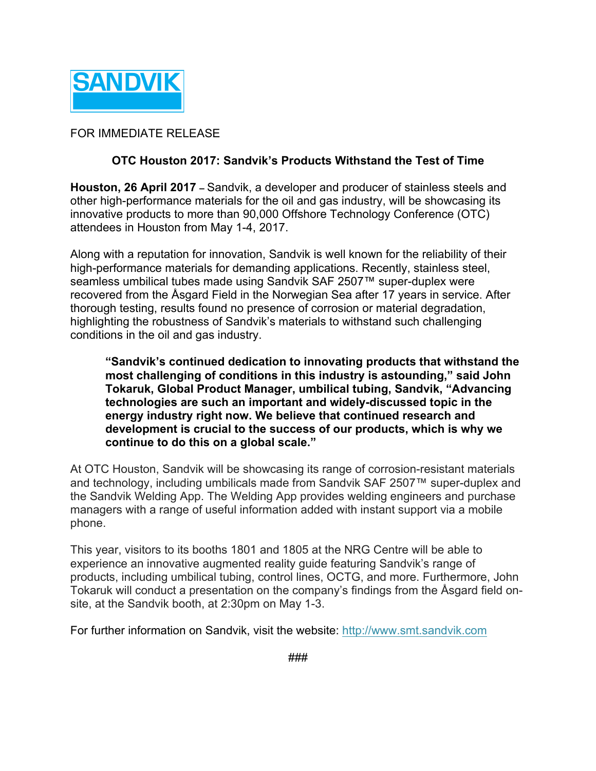

## FOR IMMEDIATE RELEASE

## **OTC Houston 2017: Sandvik's Products Withstand the Test of Time**

**Houston, 26 April 2017 –** Sandvik, a developer and producer of stainless steels and other high-performance materials for the oil and gas industry, will be showcasing its innovative products to more than 90,000 Offshore Technology Conference (OTC) attendees in Houston from May 1-4, 2017.

Along with a reputation for innovation, Sandvik is well known for the reliability of their high-performance materials for demanding applications. Recently, stainless steel, seamless umbilical tubes made using Sandvik SAF 2507™ super-duplex were recovered from the Åsgard Field in the Norwegian Sea after 17 years in service. After thorough testing, results found no presence of corrosion or material degradation, highlighting the robustness of Sandvik's materials to withstand such challenging conditions in the oil and gas industry.

**"Sandvik's continued dedication to innovating products that withstand the most challenging of conditions in this industry is astounding," said John Tokaruk, Global Product Manager, umbilical tubing, Sandvik, "Advancing technologies are such an important and widely-discussed topic in the energy industry right now. We believe that continued research and development is crucial to the success of our products, which is why we continue to do this on a global scale."**

At OTC Houston, Sandvik will be showcasing its range of corrosion-resistant materials and technology, including umbilicals made from Sandvik SAF 2507™ super-duplex and the Sandvik Welding App. The Welding App provides welding engineers and purchase managers with a range of useful information added with instant support via a mobile phone.

This year, visitors to its booths 1801 and 1805 at the NRG Centre will be able to experience an innovative augmented reality guide featuring Sandvik's range of products, including umbilical tubing, control lines, OCTG, and more. Furthermore, John Tokaruk will conduct a presentation on the company's findings from the Åsgard field onsite, at the Sandvik booth, at 2:30pm on May 1-3.

For further information on Sandvik, visit the website: http://www.smt.sandvik.com